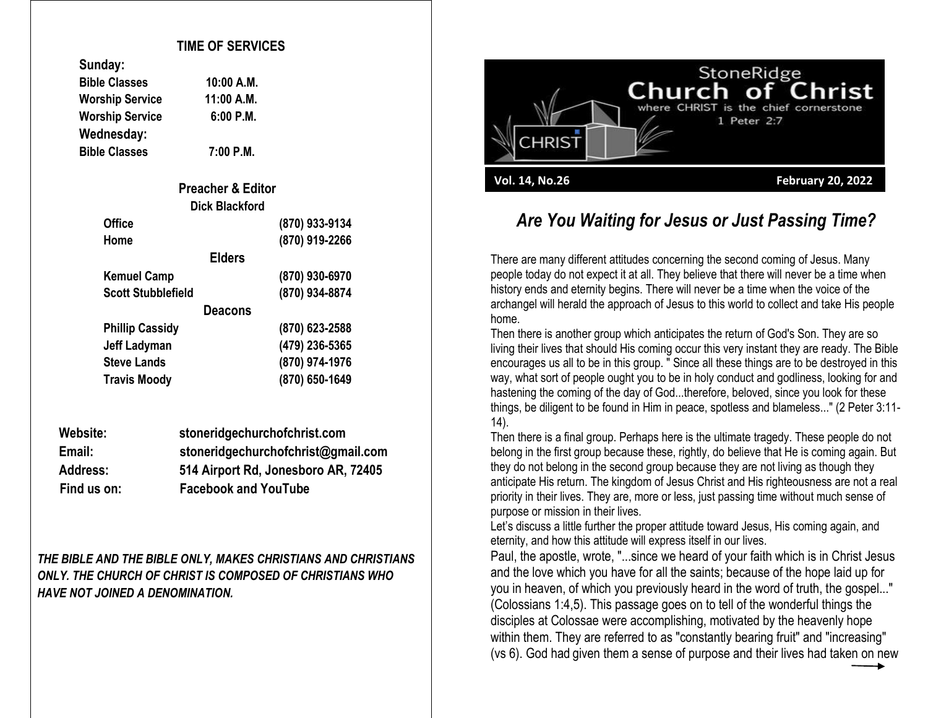## **TIME OF SERVICES**

| sungay:                |             |
|------------------------|-------------|
| <b>Bible Classes</b>   | 10:00 A.M.  |
| <b>Worship Service</b> | 11:00 A.M.  |
| <b>Worship Service</b> | $6:00$ P.M. |
| Wednesday:             |             |
| <b>Bible Classes</b>   | 7:00 P.M.   |

**Sunday:**

| <b>Preacher &amp; Editor</b> |                |
|------------------------------|----------------|
| <b>Dick Blackford</b>        |                |
| <b>Office</b>                | (870) 933-9134 |
| Home                         | (870) 919-2266 |
| <b>Elders</b>                |                |
| <b>Kemuel Camp</b>           | (870) 930-6970 |
| <b>Scott Stubblefield</b>    | (870) 934-8874 |
| <b>Deacons</b>               |                |
| <b>Phillip Cassidy</b>       | (870) 623-2588 |
| Jeff Ladyman                 | (479) 236-5365 |
| <b>Steve Lands</b>           | (870) 974-1976 |
| <b>Travis Moody</b>          | (870) 650-1649 |

| Website:        | stoneridgechurchofchrist.com        |
|-----------------|-------------------------------------|
| Email:          | stoneridgechurchofchrist@gmail.com  |
| <b>Address:</b> | 514 Airport Rd, Jonesboro AR, 72405 |
| Find us on:     | <b>Facebook and YouTube</b>         |

*THE BIBLE AND THE BIBLE ONLY, MAKES CHRISTIANS AND CHRISTIANS ONLY. THE CHURCH OF CHRIST IS COMPOSED OF CHRISTIANS WHO HAVE NOT JOINED A DENOMINATION.*



## *Are You Waiting for Jesus or Just Passing Time?*

There are many different attitudes concerning the second coming of Jesus. Many people today do not expect it at all. They believe that there will never be a time when history ends and eternity begins. There will never be a time when the voice of the archangel will herald the approach of Jesus to this world to collect and take His people home.

Then there is another group which anticipates the return of God's Son. They are so living their lives that should His coming occur this very instant they are ready. The Bible encourages us all to be in this group. " Since all these things are to be destroyed in this way, what sort of people ought you to be in holy conduct and godliness, looking for and hastening the coming of the day of God...therefore, beloved, since you look for these things, be diligent to be found in Him in peace, spotless and blameless..." (2 Peter 3:11- 14).

Then there is a final group. Perhaps here is the ultimate tragedy. These people do not belong in the first group because these, rightly, do believe that He is coming again. But they do not belong in the second group because they are not living as though they anticipate His return. The kingdom of Jesus Christ and His righteousness are not a real priority in their lives. They are, more or less, just passing time without much sense of purpose or mission in their lives.

Let's discuss a little further the proper attitude toward Jesus, His coming again, and eternity, and how this attitude will express itself in our lives.

Paul, the apostle, wrote, "...since we heard of your faith which is in Christ Jesus and the love which you have for all the saints; because of the hope laid up for you in heaven, of which you previously heard in the word of truth, the gospel..." (Colossians 1:4,5). This passage goes on to tell of the wonderful things the disciples at Colossae were accomplishing, motivated by the heavenly hope within them. They are referred to as "constantly bearing fruit" and "increasing" (vs 6). God had given them a sense of purpose and their lives had taken on new